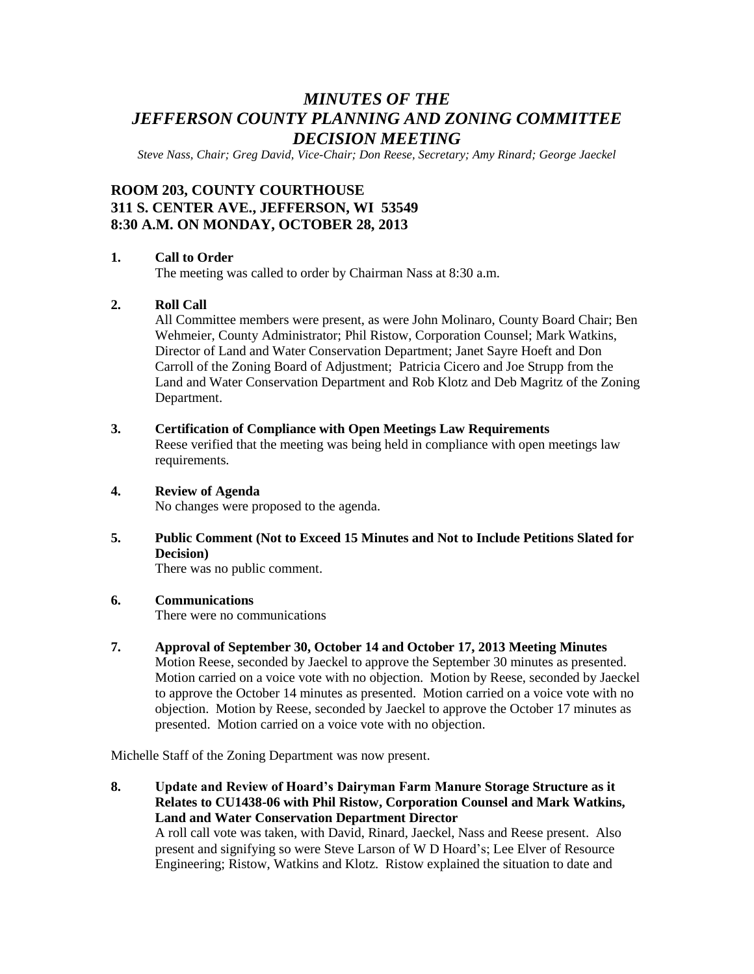# *MINUTES OF THE JEFFERSON COUNTY PLANNING AND ZONING COMMITTEE DECISION MEETING*

*Steve Nass, Chair; Greg David, Vice-Chair; Don Reese, Secretary; Amy Rinard; George Jaeckel*

# **ROOM 203, COUNTY COURTHOUSE 311 S. CENTER AVE., JEFFERSON, WI 53549 8:30 A.M. ON MONDAY, OCTOBER 28, 2013**

# **1. Call to Order**

The meeting was called to order by Chairman Nass at 8:30 a.m.

# **2. Roll Call**

All Committee members were present, as were John Molinaro, County Board Chair; Ben Wehmeier, County Administrator; Phil Ristow, Corporation Counsel; Mark Watkins, Director of Land and Water Conservation Department; Janet Sayre Hoeft and Don Carroll of the Zoning Board of Adjustment; Patricia Cicero and Joe Strupp from the Land and Water Conservation Department and Rob Klotz and Deb Magritz of the Zoning Department.

- **3. Certification of Compliance with Open Meetings Law Requirements** Reese verified that the meeting was being held in compliance with open meetings law requirements.
- **4. Review of Agenda**

No changes were proposed to the agenda.

**5. Public Comment (Not to Exceed 15 Minutes and Not to Include Petitions Slated for Decision)**

There was no public comment.

# **6. Communications**

There were no communications

**7. Approval of September 30, October 14 and October 17, 2013 Meeting Minutes**

Motion Reese, seconded by Jaeckel to approve the September 30 minutes as presented. Motion carried on a voice vote with no objection. Motion by Reese, seconded by Jaeckel to approve the October 14 minutes as presented. Motion carried on a voice vote with no objection. Motion by Reese, seconded by Jaeckel to approve the October 17 minutes as presented. Motion carried on a voice vote with no objection.

Michelle Staff of the Zoning Department was now present.

**8. Update and Review of Hoard's Dairyman Farm Manure Storage Structure as it Relates to CU1438-06 with Phil Ristow, Corporation Counsel and Mark Watkins, Land and Water Conservation Department Director** A roll call vote was taken, with David, Rinard, Jaeckel, Nass and Reese present. Also present and signifying so were Steve Larson of W D Hoard's; Lee Elver of Resource Engineering; Ristow, Watkins and Klotz. Ristow explained the situation to date and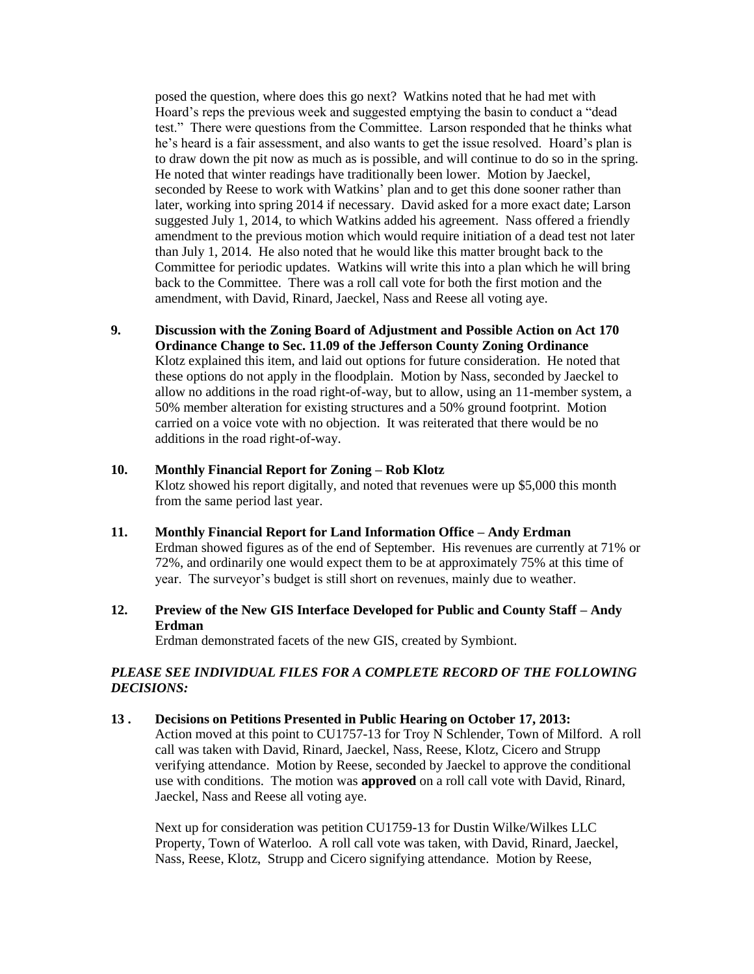posed the question, where does this go next? Watkins noted that he had met with Hoard's reps the previous week and suggested emptying the basin to conduct a "dead test." There were questions from the Committee. Larson responded that he thinks what he's heard is a fair assessment, and also wants to get the issue resolved. Hoard's plan is to draw down the pit now as much as is possible, and will continue to do so in the spring. He noted that winter readings have traditionally been lower. Motion by Jaeckel, seconded by Reese to work with Watkins' plan and to get this done sooner rather than later, working into spring 2014 if necessary. David asked for a more exact date; Larson suggested July 1, 2014, to which Watkins added his agreement. Nass offered a friendly amendment to the previous motion which would require initiation of a dead test not later than July 1, 2014. He also noted that he would like this matter brought back to the Committee for periodic updates. Watkins will write this into a plan which he will bring back to the Committee. There was a roll call vote for both the first motion and the amendment, with David, Rinard, Jaeckel, Nass and Reese all voting aye.

**9. Discussion with the Zoning Board of Adjustment and Possible Action on Act 170 Ordinance Change to Sec. 11.09 of the Jefferson County Zoning Ordinance** Klotz explained this item, and laid out options for future consideration. He noted that these options do not apply in the floodplain. Motion by Nass, seconded by Jaeckel to allow no additions in the road right-of-way, but to allow, using an 11-member system, a 50% member alteration for existing structures and a 50% ground footprint. Motion carried on a voice vote with no objection. It was reiterated that there would be no additions in the road right-of-way.

#### **10. Monthly Financial Report for Zoning – Rob Klotz**

Klotz showed his report digitally, and noted that revenues were up \$5,000 this month from the same period last year.

- **11. Monthly Financial Report for Land Information Office – Andy Erdman** Erdman showed figures as of the end of September. His revenues are currently at 71% or 72%, and ordinarily one would expect them to be at approximately 75% at this time of year. The surveyor's budget is still short on revenues, mainly due to weather.
- **12. Preview of the New GIS Interface Developed for Public and County Staff – Andy Erdman**

Erdman demonstrated facets of the new GIS, created by Symbiont.

# *PLEASE SEE INDIVIDUAL FILES FOR A COMPLETE RECORD OF THE FOLLOWING DECISIONS:*

**13 . Decisions on Petitions Presented in Public Hearing on October 17, 2013:** Action moved at this point to CU1757-13 for Troy N Schlender, Town of Milford. A roll call was taken with David, Rinard, Jaeckel, Nass, Reese, Klotz, Cicero and Strupp verifying attendance. Motion by Reese, seconded by Jaeckel to approve the conditional use with conditions. The motion was **approved** on a roll call vote with David, Rinard, Jaeckel, Nass and Reese all voting aye.

Next up for consideration was petition CU1759-13 for Dustin Wilke/Wilkes LLC Property, Town of Waterloo. A roll call vote was taken, with David, Rinard, Jaeckel, Nass, Reese, Klotz, Strupp and Cicero signifying attendance. Motion by Reese,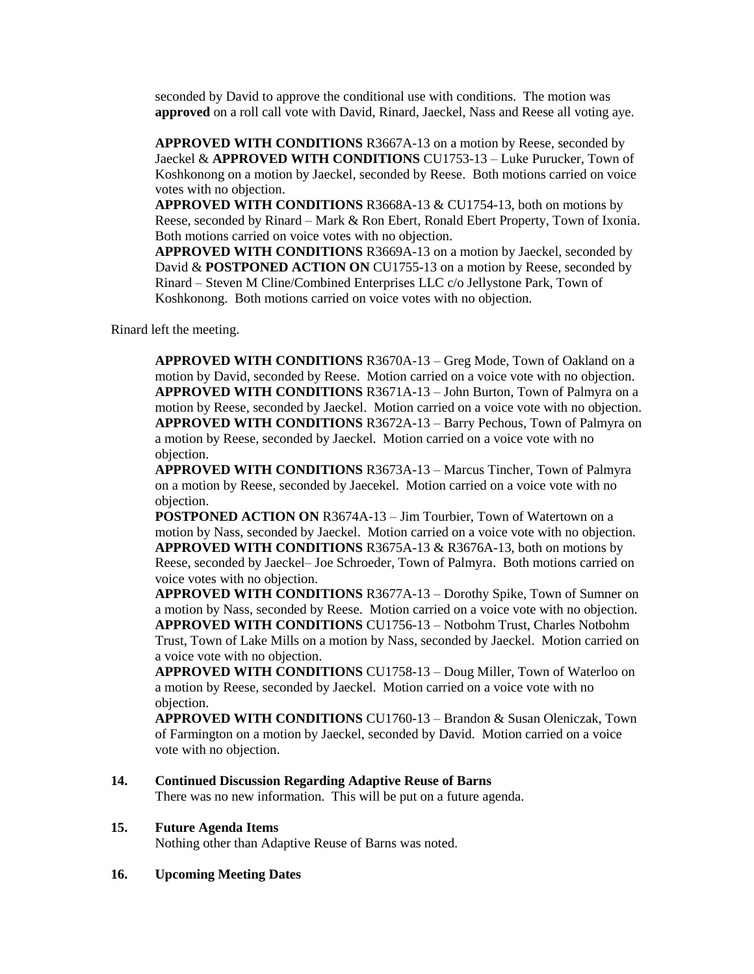seconded by David to approve the conditional use with conditions. The motion was **approved** on a roll call vote with David, Rinard, Jaeckel, Nass and Reese all voting aye.

**APPROVED WITH CONDITIONS** R3667A-13 on a motion by Reese, seconded by Jaeckel & **APPROVED WITH CONDITIONS** CU1753-13 – Luke Purucker, Town of Koshkonong on a motion by Jaeckel, seconded by Reese. Both motions carried on voice votes with no objection.

**APPROVED WITH CONDITIONS** R3668A-13 & CU1754-13, both on motions by Reese, seconded by Rinard – Mark & Ron Ebert, Ronald Ebert Property, Town of Ixonia. Both motions carried on voice votes with no objection.

**APPROVED WITH CONDITIONS** R3669A-13 on a motion by Jaeckel, seconded by David & **POSTPONED ACTION ON** CU1755-13 on a motion by Reese, seconded by Rinard – Steven M Cline/Combined Enterprises LLC c/o Jellystone Park, Town of Koshkonong. Both motions carried on voice votes with no objection.

Rinard left the meeting.

**APPROVED WITH CONDITIONS** R3670A-13 – Greg Mode, Town of Oakland on a motion by David, seconded by Reese. Motion carried on a voice vote with no objection. **APPROVED WITH CONDITIONS** R3671A-13 – John Burton, Town of Palmyra on a motion by Reese, seconded by Jaeckel. Motion carried on a voice vote with no objection. **APPROVED WITH CONDITIONS** R3672A-13 – Barry Pechous, Town of Palmyra on a motion by Reese, seconded by Jaeckel. Motion carried on a voice vote with no objection.

**APPROVED WITH CONDITIONS** R3673A-13 – Marcus Tincher, Town of Palmyra on a motion by Reese, seconded by Jaecekel. Motion carried on a voice vote with no objection.

**POSTPONED ACTION ON R3674A-13 – Jim Tourbier, Town of Watertown on a** motion by Nass, seconded by Jaeckel. Motion carried on a voice vote with no objection. **APPROVED WITH CONDITIONS** R3675A-13 & R3676A-13, both on motions by Reese, seconded by Jaeckel– Joe Schroeder, Town of Palmyra. Both motions carried on voice votes with no objection.

**APPROVED WITH CONDITIONS** R3677A-13 – Dorothy Spike, Town of Sumner on a motion by Nass, seconded by Reese. Motion carried on a voice vote with no objection. **APPROVED WITH CONDITIONS** CU1756-13 – Notbohm Trust, Charles Notbohm Trust, Town of Lake Mills on a motion by Nass, seconded by Jaeckel. Motion carried on a voice vote with no objection.

**APPROVED WITH CONDITIONS** CU1758-13 – Doug Miller, Town of Waterloo on a motion by Reese, seconded by Jaeckel. Motion carried on a voice vote with no objection.

**APPROVED WITH CONDITIONS** CU1760-13 – Brandon & Susan Oleniczak, Town of Farmington on a motion by Jaeckel, seconded by David. Motion carried on a voice vote with no objection.

# **14. Continued Discussion Regarding Adaptive Reuse of Barns**

There was no new information. This will be put on a future agenda.

#### **15. Future Agenda Items**

Nothing other than Adaptive Reuse of Barns was noted.

#### **16. Upcoming Meeting Dates**